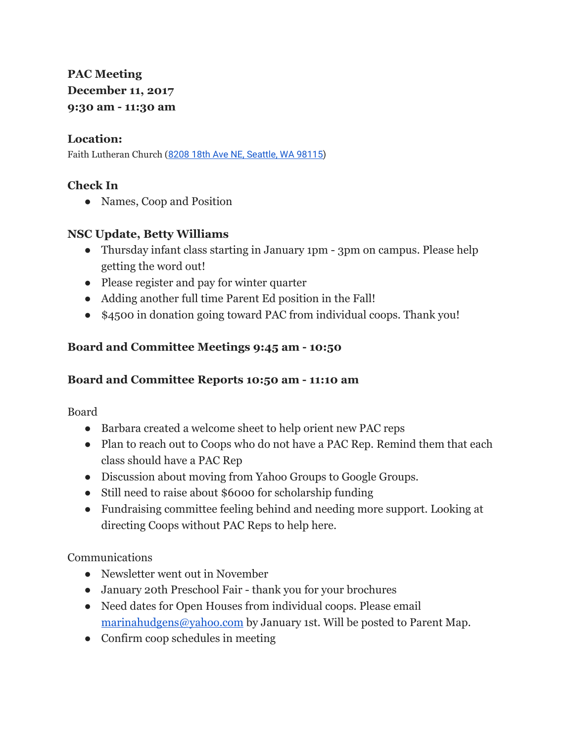# **PAC Meeting December 11, 2017 9:30 am - 11:30 am**

### **Location:**

Faith Lutheran Church (8208 18th Ave NE, [Seattle,](https://maps.google.com/?q=8208+18th+Ave+NE,+Seattle,+WA+98115&entry=gmail&source=g) WA 98115)

# **Check In**

• Names, Coop and Position

## **NSC Update, Betty Williams**

- Thursday infant class starting in January 1pm 3pm on campus. Please help getting the word out!
- Please register and pay for winter quarter
- Adding another full time Parent Ed position in the Fall!
- \$4500 in donation going toward PAC from individual coops. Thank you!

# **Board and Committee Meetings 9:45 am - 10:50**

# **Board and Committee Reports 10:50 am - 11:10 am**

Board

- Barbara created a welcome sheet to help orient new PAC reps
- Plan to reach out to Coops who do not have a PAC Rep. Remind them that each class should have a PAC Rep
- Discussion about moving from Yahoo Groups to Google Groups.
- Still need to raise about \$6000 for scholarship funding
- Fundraising committee feeling behind and needing more support. Looking at directing Coops without PAC Reps to help here.

Communications

- Newsletter went out in November
- January 20th Preschool Fair thank you for your brochures
- Need dates for Open Houses from individual coops. Please email [marinahudgens@yahoo.com](mailto:marinahudgens@yahoo.com) by January 1st. Will be posted to Parent Map.
- Confirm coop schedules in meeting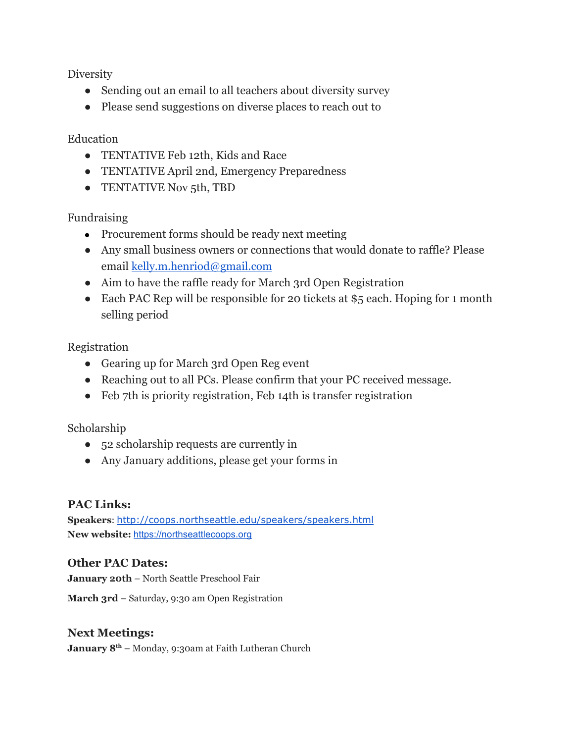**Diversity** 

- Sending out an email to all teachers about diversity survey
- Please send suggestions on diverse places to reach out to

### Education

- TENTATIVE Feb 12th, Kids and Race
- TENTATIVE April 2nd, Emergency Preparedness
- TENTATIVE Nov 5th, TBD

## Fundraising

- Procurement forms should be ready next meeting
- Any small business owners or connections that would donate to raffle? Please email [kelly.m.henriod@gmail.com](mailto:kelly.m.henriod@gmail.com)
- Aim to have the raffle ready for March 3rd Open Registration
- Each PAC Rep will be responsible for 20 tickets at \$5 each. Hoping for 1 month selling period

Registration

- Gearing up for March 3rd Open Reg event
- Reaching out to all PCs. Please confirm that your PC received message.
- Feb 7th is priority registration, Feb 14th is transfer registration

#### Scholarship

- 52 scholarship requests are currently in
- Any January additions, please get your forms in

#### **PAC Links:**

**Speakers**: <http://coops.northseattle.edu/speakers/speakers.html> **New website:** [https://northseattlecoops.org](https://northseattlecoops.org/)

#### **Other PAC Dates:**

**January 20th** – North Seattle Preschool Fair

**March 3rd** – Saturday, 9:30 am Open Registration

#### **Next Meetings:**

**January 8 th** – Monday, 9:30am at Faith Lutheran Church